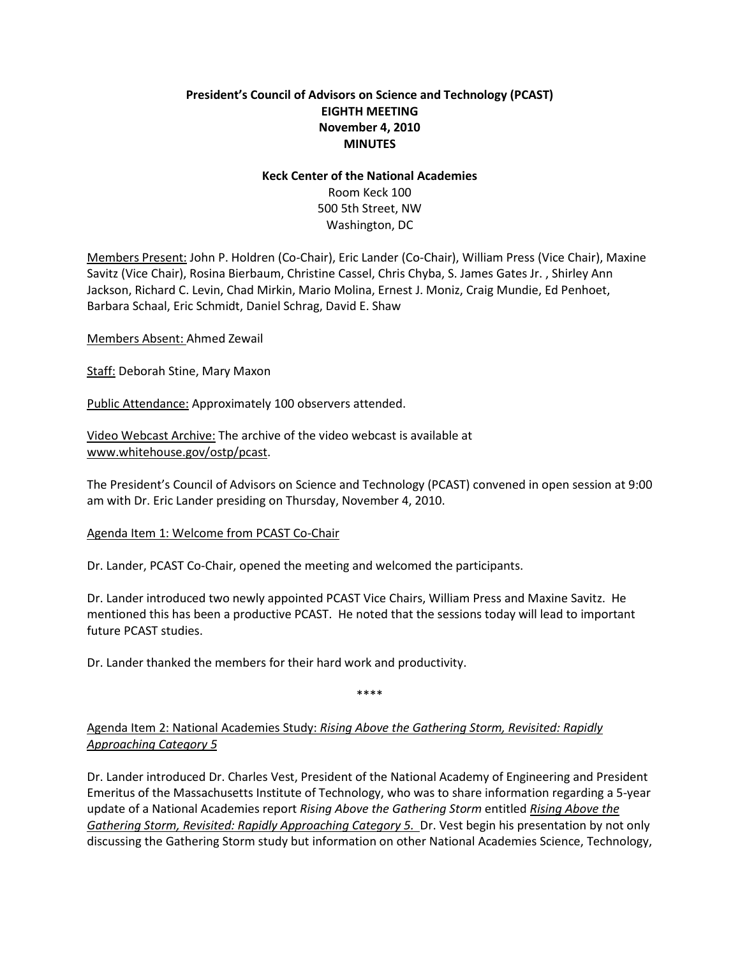## **President's Council of Advisors on Science and Technology (PCAST) EIGHTH MEETING November 4, 2010 MINUTES**

#### **Keck Center of the National Academies**

Room Keck 100 500 5th Street, NW Washington, DC

Members Present: John P. Holdren (Co-Chair), Eric Lander (Co-Chair), William Press (Vice Chair), Maxine Savitz (Vice Chair), Rosina Bierbaum, Christine Cassel, Chris Chyba, S. James Gates Jr. , Shirley Ann Jackson, Richard C. Levin, Chad Mirkin, Mario Molina, Ernest J. Moniz, Craig Mundie, Ed Penhoet, Barbara Schaal, Eric Schmidt, Daniel Schrag, David E. Shaw

Members Absent: Ahmed Zewail

Staff: Deborah Stine, Mary Maxon

Public Attendance: Approximately 100 observers attended.

Video Webcast Archive: The archive of the video webcast is available at [www.whitehouse.gov/ostp/pcast.](http://www.whitehouse.gov/ostp/pcast)

The President's Council of Advisors on Science and Technology (PCAST) convened in open session at 9:00 am with Dr. Eric Lander presiding on Thursday, November 4, 2010.

### Agenda Item 1: Welcome from PCAST Co-Chair

Dr. Lander, PCAST Co-Chair, opened the meeting and welcomed the participants.

Dr. Lander introduced two newly appointed PCAST Vice Chairs, William Press and Maxine Savitz. He mentioned this has been a productive PCAST. He noted that the sessions today will lead to important future PCAST studies.

Dr. Lander thanked the members for their hard work and productivity.

\*\*\*\*

# Agenda Item 2: National Academies Study: *Rising Above the Gathering Storm, Revisited: Rapidly Approaching Category 5*

Dr. Lander introduced Dr. Charles Vest, President of the National Academy of Engineering and President Emeritus of the Massachusetts Institute of Technology, who was to share information regarding a 5-year update of a National Academies report *Rising Above the Gathering Storm* entitled *Rising Above the Gathering Storm, Revisited: Rapidly Approaching Category 5.* Dr. Vest begin his presentation by not only discussing the Gathering Storm study but information on other National Academies Science, Technology,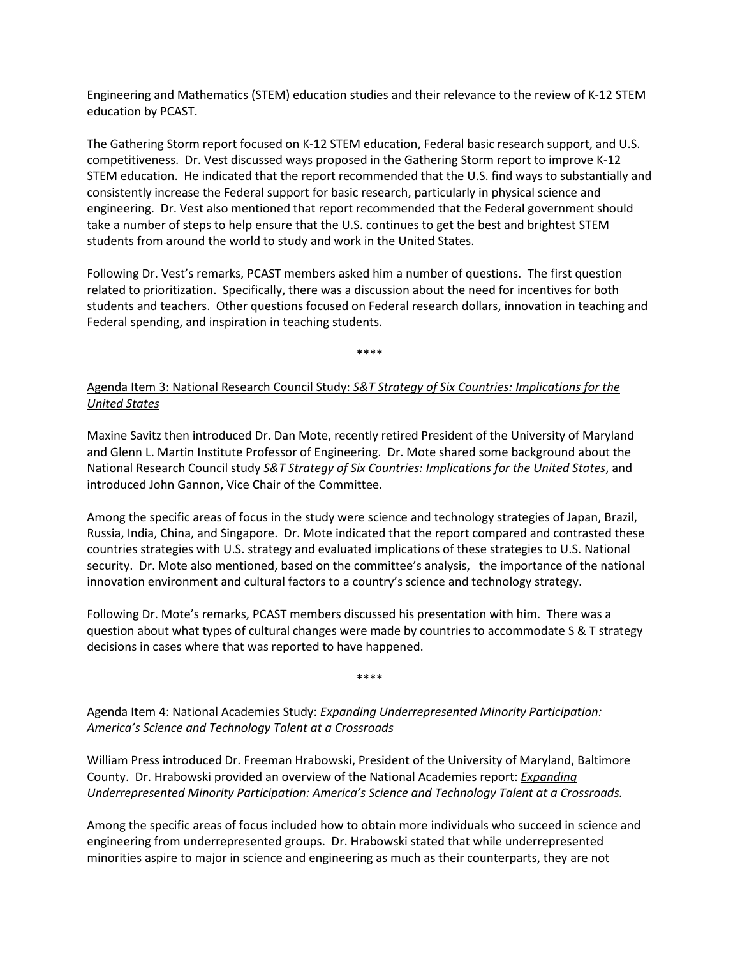Engineering and Mathematics (STEM) education studies and their relevance to the review of K-12 STEM education by PCAST.

The Gathering Storm report focused on K-12 STEM education, Federal basic research support, and U.S. competitiveness. Dr. Vest discussed ways proposed in the Gathering Storm report to improve K-12 STEM education. He indicated that the report recommended that the U.S. find ways to substantially and consistently increase the Federal support for basic research, particularly in physical science and engineering. Dr. Vest also mentioned that report recommended that the Federal government should take a number of steps to help ensure that the U.S. continues to get the best and brightest STEM students from around the world to study and work in the United States.

Following Dr. Vest's remarks, PCAST members asked him a number of questions. The first question related to prioritization. Specifically, there was a discussion about the need for incentives for both students and teachers. Other questions focused on Federal research dollars, innovation in teaching and Federal spending, and inspiration in teaching students.

\*\*\*\*

# Agenda Item 3: National Research Council Study: *S&T Strategy of Six Countries: Implications for the United States*

Maxine Savitz then introduced Dr. Dan Mote, recently retired President of the University of Maryland and Glenn L. Martin Institute Professor of Engineering. Dr. Mote shared some background about the National Research Council study *S&T Strategy of Six Countries: Implications for the United States*, and introduced John Gannon, Vice Chair of the Committee.

Among the specific areas of focus in the study were science and technology strategies of Japan, Brazil, Russia, India, China, and Singapore. Dr. Mote indicated that the report compared and contrasted these countries strategies with U.S. strategy and evaluated implications of these strategies to U.S. National security. Dr. Mote also mentioned, based on the committee's analysis, the importance of the national innovation environment and cultural factors to a country's science and technology strategy.

Following Dr. Mote's remarks, PCAST members discussed his presentation with him. There was a question about what types of cultural changes were made by countries to accommodate S & T strategy decisions in cases where that was reported to have happened.

\*\*\*\*

Agenda Item 4: National Academies Study: *Expanding Underrepresented Minority Participation: America's Science and Technology Talent at a Crossroads*

William Press introduced Dr. Freeman Hrabowski, President of the University of Maryland, Baltimore County. Dr. Hrabowski provided an overview of the National Academies report: *Expanding Underrepresented Minority Participation: America's Science and Technology Talent at a Crossroads.*

Among the specific areas of focus included how to obtain more individuals who succeed in science and engineering from underrepresented groups. Dr. Hrabowski stated that while underrepresented minorities aspire to major in science and engineering as much as their counterparts, they are not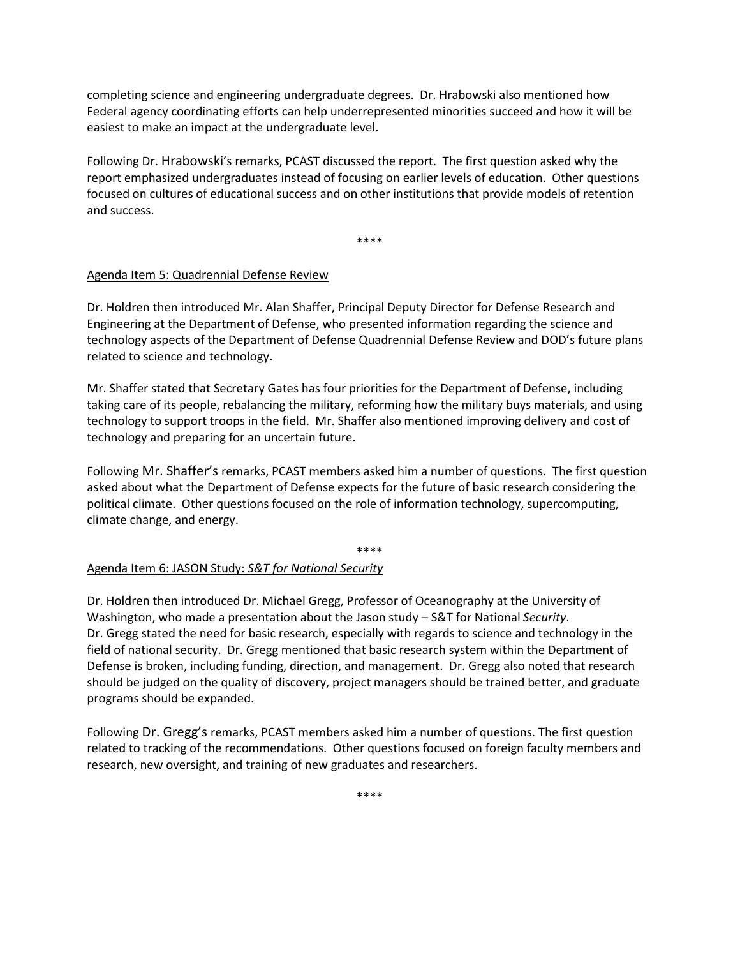completing science and engineering undergraduate degrees. Dr. Hrabowski also mentioned how Federal agency coordinating efforts can help underrepresented minorities succeed and how it will be easiest to make an impact at the undergraduate level.

Following Dr. Hrabowski's remarks, PCAST discussed the report. The first question asked why the report emphasized undergraduates instead of focusing on earlier levels of education. Other questions focused on cultures of educational success and on other institutions that provide models of retention and success.

\*\*\*\*

### Agenda Item 5: Quadrennial Defense Review

Dr. Holdren then introduced Mr. Alan Shaffer, Principal Deputy Director for Defense Research and Engineering at the Department of Defense, who presented information regarding the science and technology aspects of the Department of Defense Quadrennial Defense Review and DOD's future plans related to science and technology.

Mr. Shaffer stated that Secretary Gates has four priorities for the Department of Defense, including taking care of its people, rebalancing the military, reforming how the military buys materials, and using technology to support troops in the field. Mr. Shaffer also mentioned improving delivery and cost of technology and preparing for an uncertain future.

Following Mr. Shaffer's remarks, PCAST members asked him a number of questions. The first question asked about what the Department of Defense expects for the future of basic research considering the political climate. Other questions focused on the role of information technology, supercomputing, climate change, and energy.

#### \*\*\*\*

### Agenda Item 6: JASON Study: *S&T for National Security*

Dr. Holdren then introduced Dr. Michael Gregg, Professor of Oceanography at the University of Washington, who made a presentation about the Jason study – S&T for National *Security*. Dr. Gregg stated the need for basic research, especially with regards to science and technology in the field of national security. Dr. Gregg mentioned that basic research system within the Department of Defense is broken, including funding, direction, and management. Dr. Gregg also noted that research should be judged on the quality of discovery, project managers should be trained better, and graduate programs should be expanded.

Following Dr. Gregg's remarks, PCAST members asked him a number of questions. The first question related to tracking of the recommendations. Other questions focused on foreign faculty members and research, new oversight, and training of new graduates and researchers.

\*\*\*\*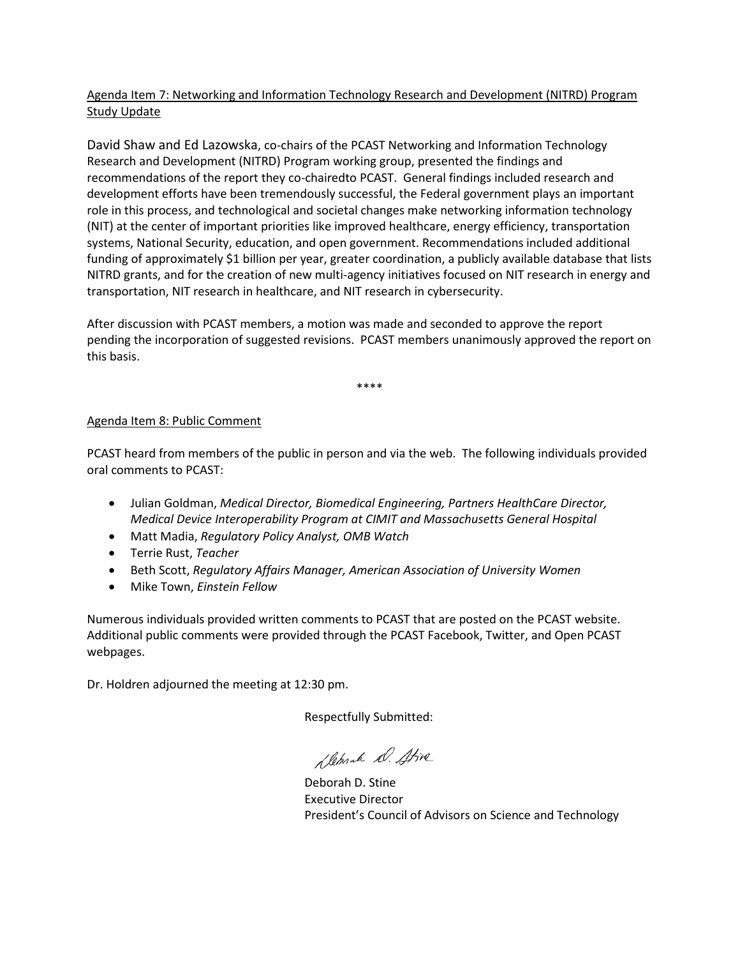# Agenda Item 7: Networking and Information Technology Research and Development (NITRD) Program Study Update

David Shaw and Ed Lazowska, co-chairs of the PCAST Networking and Information Technology Research and Development (NITRD) Program working group, presented the findings and recommendations of the report they co-chairedto PCAST. General findings included research and development efforts have been tremendously successful, the Federal government plays an important role in this process, and technological and societal changes make networking information technology (NIT) at the center of important priorities like improved healthcare, energy efficiency, transportation systems, National Security, education, and open government. Recommendations included additional funding of approximately \$1 billion per year, greater coordination, a publicly available database that lists NITRD grants, and for the creation of new multi-agency initiatives focused on NIT research in energy and transportation, NIT research in healthcare, and NIT research in cybersecurity.

After discussion with PCAST members, a motion was made and seconded to approve the report pending the incorporation of suggested revisions. PCAST members unanimously approved the report on this basis.

\*\*\*\*

## Agenda Item 8: Public Comment

PCAST heard from members of the public in person and via the web. The following individuals provided oral comments to PCAST:

- Julian Goldman, *Medical Director, Biomedical Engineering, Partners HealthCare Director, Medical Device Interoperability Program at CIMIT and Massachusetts General Hospital*
- Matt Madia, *Regulatory Policy Analyst, OMB Watch*
- Terrie Rust, *Teacher*
- Beth Scott, *Regulatory Affairs Manager, American Association of University Women*
- Mike Town, *Einstein Fellow*

Numerous individuals provided written comments to PCAST that are posted on the PCAST website. Additional public comments were provided through the PCAST Facebook, Twitter, and Open PCAST webpages.

Dr. Holdren adjourned the meeting at 12:30 pm.

Respectfully Submitted:

Demak D. Stive

Deborah D. Stine Executive Director President's Council of Advisors on Science and Technology